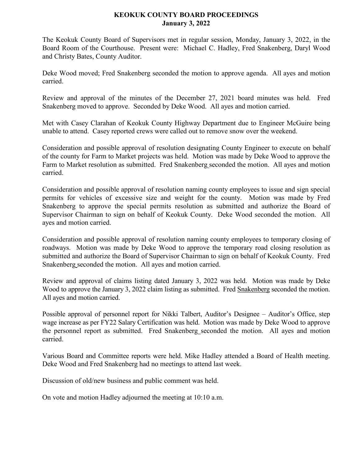## **KEOKUK COUNTY BOARD PROCEEDINGS January 3, 2022**

The Keokuk County Board of Supervisors met in regular session, Monday, January 3, 2022, in the Board Room of the Courthouse. Present were: Michael C. Hadley, Fred Snakenberg, Daryl Wood and Christy Bates, County Auditor.

Deke Wood moved; Fred Snakenberg seconded the motion to approve agenda. All ayes and motion carried.

Review and approval of the minutes of the December 27, 2021 board minutes was held. Fred Snakenberg moved to approve. Seconded by Deke Wood. All ayes and motion carried.

Met with Casey Clarahan of Keokuk County Highway Department due to Engineer McGuire being unable to attend. Casey reported crews were called out to remove snow over the weekend.

Consideration and possible approval of resolution designating County Engineer to execute on behalf of the county for Farm to Market projects was held. Motion was made by Deke Wood to approve the Farm to Market resolution as submitted. Fred Snakenberg seconded the motion. All ayes and motion carried.

Consideration and possible approval of resolution naming county employees to issue and sign special permits for vehicles of excessive size and weight for the county. Motion was made by Fred Snakenberg to approve the special permits resolution as submitted and authorize the Board of Supervisor Chairman to sign on behalf of Keokuk County. Deke Wood seconded the motion. All ayes and motion carried.

Consideration and possible approval of resolution naming county employees to temporary closing of roadways. Motion was made by Deke Wood to approve the temporary road closing resolution as submitted and authorize the Board of Supervisor Chairman to sign on behalf of Keokuk County. Fred Snakenberg seconded the motion. All ayes and motion carried.

Review and approval of claims listing dated January 3, 2022 was held. Motion was made by Deke Wood to approve the January 3, 2022 claim listing as submitted. Fred Snakenberg seconded the motion. All ayes and motion carried.

Possible approval of personnel report for Nikki Talbert, Auditor's Designee – Auditor's Office, step wage increase as per FY22 Salary Certification was held. Motion was made by Deke Wood to approve the personnel report as submitted. Fred Snakenberg seconded the motion. All ayes and motion carried.

Various Board and Committee reports were held. Mike Hadley attended a Board of Health meeting. Deke Wood and Fred Snakenberg had no meetings to attend last week.

Discussion of old/new business and public comment was held.

On vote and motion Hadley adjourned the meeting at 10:10 a.m.